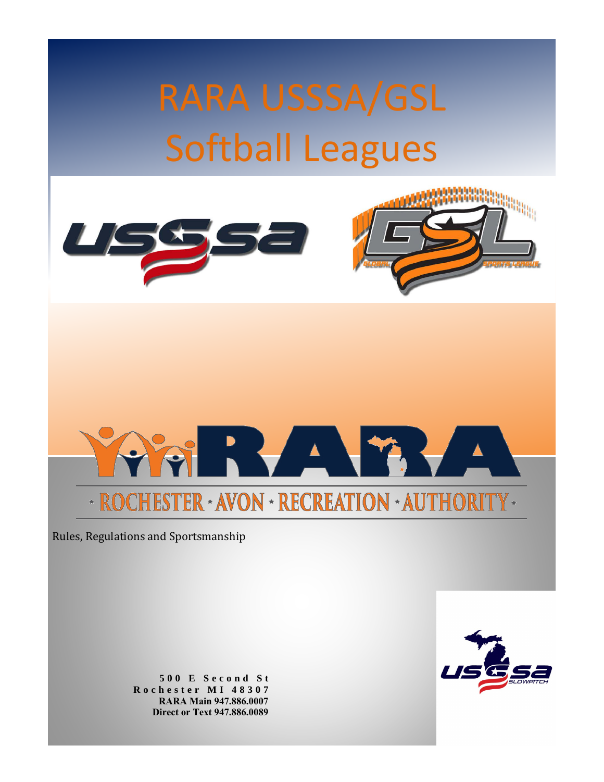RARA USSSA/GSL Softball Leagues







Rules, Regulations and Sportsmanship

**5 0 0 E S e c o n d S t R o c h e s t e r M I 4 8 3 0 7 RARA Main 947.886.0007 Direct or Text 947.886.0089**

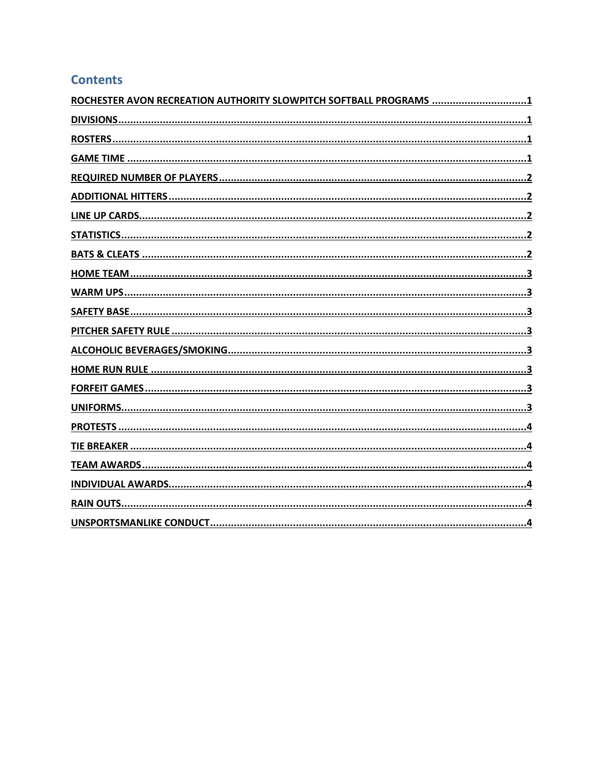#### **Contents**

| ROCHESTER AVON RECREATION AUTHORITY SLOWPITCH SOFTBALL PROGRAMS |
|-----------------------------------------------------------------|
|                                                                 |
|                                                                 |
|                                                                 |
|                                                                 |
|                                                                 |
|                                                                 |
|                                                                 |
|                                                                 |
|                                                                 |
|                                                                 |
|                                                                 |
|                                                                 |
|                                                                 |
|                                                                 |
|                                                                 |
|                                                                 |
|                                                                 |
|                                                                 |
|                                                                 |
|                                                                 |
|                                                                 |
|                                                                 |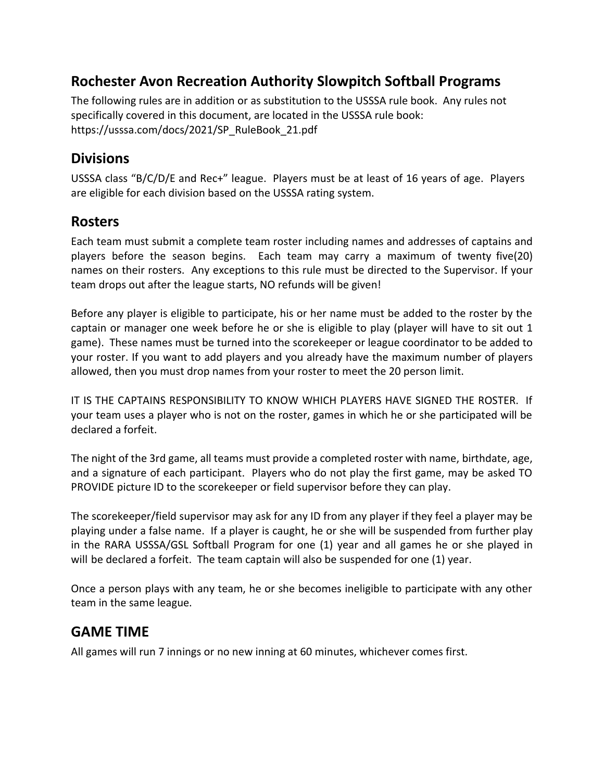## <span id="page-2-0"></span>**Rochester Avon Recreation Authority Slowpitch Softball Programs**

The following rules are in addition or as substitution to the USSSA rule book. Any rules not specifically covered in this document, are located in the USSSA rule book: [https://usssa.com/docs/2021/SP\\_RuleBook\\_21.pdf](https://usssa.com/docs/2018/2018_SP_RuleBook.pdf)

## <span id="page-2-1"></span>**Divisions**

USSSA class "B/C/D/E and Rec+" league. Players must be at least of 16 years of age. Players are eligible for each division based on the USSSA rating system.

#### <span id="page-2-2"></span>**Rosters**

Each team must submit a complete team roster including names and addresses of captains and players before the season begins. Each team may carry a maximum of twenty five(20) names on their rosters. Any exceptions to this rule must be directed to the Supervisor. If your team drops out after the league starts, NO refunds will be given!

Before any player is eligible to participate, his or her name must be added to the roster by the captain or manager one week before he or she is eligible to play (player will have to sit out 1 game). These names must be turned into the scorekeeper or league coordinator to be added to your roster. If you want to add players and you already have the maximum number of players allowed, then you must drop names from your roster to meet the 20 person limit.

IT IS THE CAPTAINS RESPONSIBILITY TO KNOW WHICH PLAYERS HAVE SIGNED THE ROSTER. If your team uses a player who is not on the roster, games in which he or she participated will be declared a forfeit.

The night of the 3rd game, all teams must provide a completed roster with name, birthdate, age, and a signature of each participant. Players who do not play the first game, may be asked TO PROVIDE picture ID to the scorekeeper or field supervisor before they can play.

The scorekeeper/field supervisor may ask for any ID from any player if they feel a player may be playing under a false name. If a player is caught, he or she will be suspended from further play in the RARA USSSA/GSL Softball Program for one (1) year and all games he or she played in will be declared a forfeit. The team captain will also be suspended for one (1) year.

Once a person plays with any team, he or she becomes ineligible to participate with any other team in the same league.

## <span id="page-2-3"></span>**GAME TIME**

All games will run 7 innings or no new inning at 60 minutes, whichever comes first.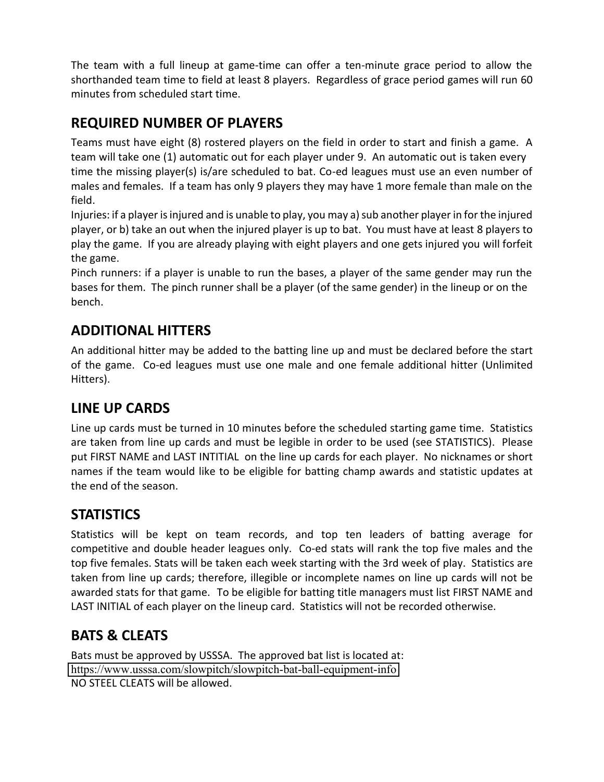The team with a full lineup at game-time can offer a ten-minute grace period to allow the shorthanded team time to field at least 8 players. Regardless of grace period games will run 60 minutes from scheduled start time.

## <span id="page-3-0"></span>**REQUIRED NUMBER OF PLAYERS**

Teams must have eight (8) rostered players on the field in order to start and finish a game. A team will take one (1) automatic out for each player under 9. An automatic out is taken every time the missing player(s) is/are scheduled to bat. Co-ed leagues must use an even number of males and females. If a team has only 9 players they may have 1 more female than male on the field.

Injuries: if a player is injured and is unable to play, you may a) sub another player in for the injured player, or b) take an out when the injured player is up to bat. You must have at least 8 players to play the game. If you are already playing with eight players and one gets injured you will forfeit the game.

Pinch runners: if a player is unable to run the bases, a player of the same gender may run the bases for them. The pinch runner shall be a player (of the same gender) in the lineup or on the bench.

# <span id="page-3-1"></span>**ADDITIONAL HITTERS**

An additional hitter may be added to the batting line up and must be declared before the start of the game. Co-ed leagues must use one male and one female additional hitter (Unlimited Hitters).

## <span id="page-3-2"></span>**LINE UP CARDS**

<span id="page-3-3"></span>Line up cards must be turned in 10 minutes before the scheduled starting game time. Statistics are taken from line up cards and must be legible in order to be used (see STATISTICS). Please put FIRST NAME and LAST INTITIAL on the line up cards for each player. No nicknames or short names if the team would like to be eligible for batting champ awards and statistic updates at the end of the season.

## **STATISTICS**

Statistics will be kept on team records, and top ten leaders of batting average for competitive and double header leagues only. Co-ed stats will rank the top five males and the top five females. Stats will be taken each week starting with the 3rd week of play. Statistics are taken from line up cards; therefore, illegible or incomplete names on line up cards will not be awarded stats for that game. To be eligible for batting title managers must list FIRST NAME and LAST INITIAL of each player on the lineup card. Statistics will not be recorded otherwise.

#### <span id="page-3-4"></span>**BATS & CLEATS**

Bats must be approved by USSSA. The approved bat list is located at: <https://www.usssa.com/slowpitch/slowpitch-bat-ball-equipment-info> NO STEEL CLEATS will be allowed.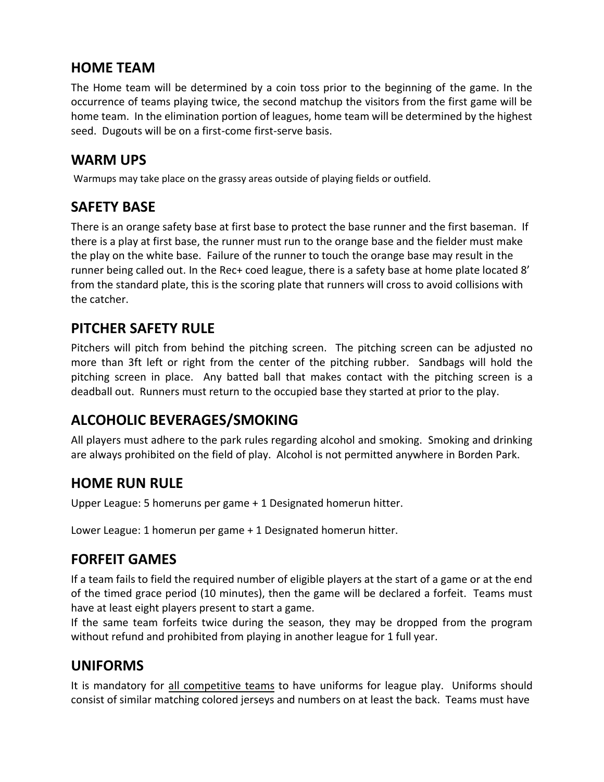#### <span id="page-4-0"></span>**HOME TEAM**

The Home team will be determined by a coin toss prior to the beginning of the game. In the occurrence of teams playing twice, the second matchup the visitors from the first game will be home team. In the elimination portion of leagues, home team will be determined by the highest seed. Dugouts will be on a first-come first-serve basis.

#### <span id="page-4-1"></span>**WARM UPS**

Warmups may take place on the grassy areas outside of playing fields or outfield.

## <span id="page-4-2"></span>**SAFETY BASE**

There is an orange safety base at first base to protect the base runner and the first baseman. If there is a play at first base, the runner must run to the orange base and the fielder must make the play on the white base. Failure of the runner to touch the orange base may result in the runner being called out. In the Rec+ coed league, there is a safety base at home plate located 8' from the standard plate, this is the scoring plate that runners will cross to avoid collisions with the catcher.

## <span id="page-4-3"></span>**PITCHER SAFETY RULE**

Pitchers will pitch from behind the pitching screen. The pitching screen can be adjusted no more than 3ft left or right from the center of the pitching rubber. Sandbags will hold the pitching screen in place. Any batted ball that makes contact with the pitching screen is a deadball out. Runners must return to the occupied base they started at prior to the play.

## <span id="page-4-4"></span>**ALCOHOLIC BEVERAGES/SMOKING**

<span id="page-4-5"></span>All players must adhere to the park rules regarding alcohol and smoking. Smoking and drinking are always prohibited on the field of play. Alcohol is not permitted anywhere in Borden Park.

#### **HOME RUN RULE**

Upper League: 5 homeruns per game + 1 Designated homerun hitter.

Lower League: 1 homerun per game + 1 Designated homerun hitter.

#### <span id="page-4-6"></span>**FORFEIT GAMES**

If a team fails to field the required number of eligible players at the start of a game or at the end of the timed grace period (10 minutes), then the game will be declared a forfeit. Teams must have at least eight players present to start a game.

If the same team forfeits twice during the season, they may be dropped from the program without refund and prohibited from playing in another league for 1 full year.

## <span id="page-4-7"></span>**UNIFORMS**

It is mandatory for all competitive teams to have uniforms for league play. Uniforms should consist of similar matching colored jerseys and numbers on at least the back. Teams must have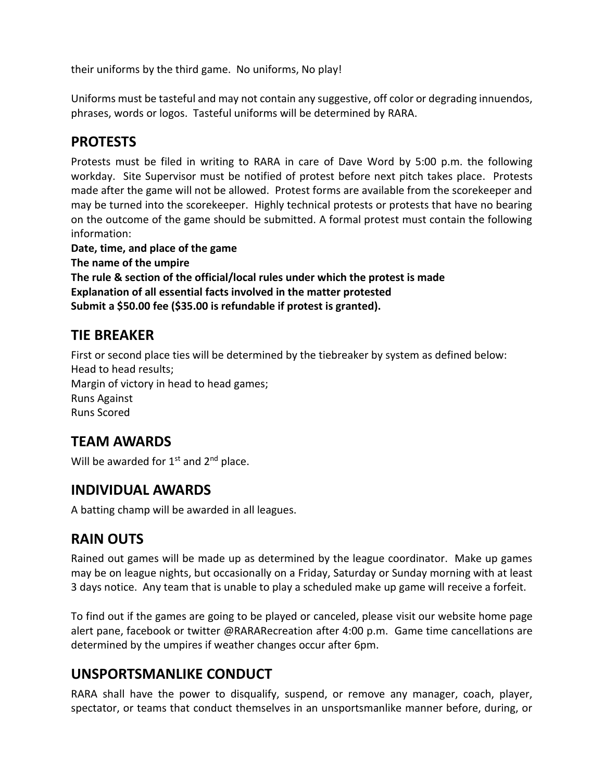their uniforms by the third game. No uniforms, No play!

Uniforms must be tasteful and may not contain any suggestive, off color or degrading innuendos, phrases, words or logos. Tasteful uniforms will be determined by RARA.

## <span id="page-5-0"></span>**PROTESTS**

Protests must be filed in writing to RARA in care of Dave Word by 5:00 p.m. the following workday. Site Supervisor must be notified of protest before next pitch takes place. Protests made after the game will not be allowed. Protest forms are available from the scorekeeper and may be turned into the scorekeeper. Highly technical protests or protests that have no bearing on the outcome of the game should be submitted. A formal protest must contain the following information:

**Date, time, and place of the game The name of the umpire The rule & section of the official/local rules under which the protest is made Explanation of all essential facts involved in the matter protested Submit a \$50.00 fee (\$35.00 is refundable if protest is granted).**

## <span id="page-5-1"></span>**TIE BREAKER**

First or second place ties will be determined by the tiebreaker by system as defined below: Head to head results; Margin of victory in head to head games; Runs Against Runs Scored

#### <span id="page-5-2"></span>**TEAM AWARDS**

<span id="page-5-3"></span>Will be awarded for  $1<sup>st</sup>$  and  $2<sup>nd</sup>$  place.

#### **INDIVIDUAL AWARDS**

<span id="page-5-4"></span>A batting champ will be awarded in all leagues.

#### **RAIN OUTS**

Rained out games will be made up as determined by the league coordinator. Make up games may be on league nights, but occasionally on a Friday, Saturday or Sunday morning with at least 3 days notice. Any team that is unable to play a scheduled make up game will receive a forfeit.

To find out if the games are going to be played or canceled, please visit our website home page alert pane, facebook or twitter @RARARecreation after 4:00 p.m. Game time cancellations are determined by the umpires if weather changes occur after 6pm.

#### <span id="page-5-5"></span>**UNSPORTSMANLIKE CONDUCT**

RARA shall have the power to disqualify, suspend, or remove any manager, coach, player, spectator, or teams that conduct themselves in an unsportsmanlike manner before, during, or